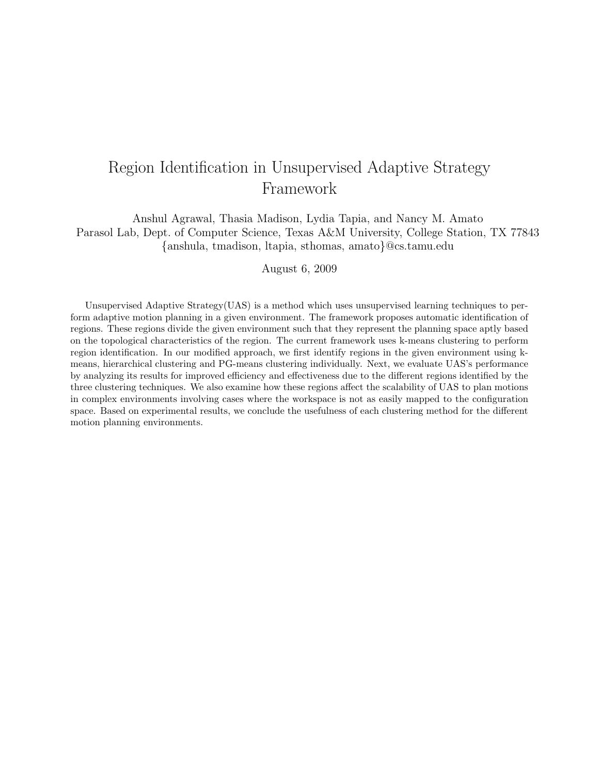# Region Identification in Unsupervised Adaptive Strategy Framework

Anshul Agrawal, Thasia Madison, Lydia Tapia, and Nancy M. Amato Parasol Lab, Dept. of Computer Science, Texas A&M University, College Station, TX 77843 {anshula, tmadison, ltapia, sthomas, amato}@cs.tamu.edu

August 6, 2009

Unsupervised Adaptive Strategy(UAS) is a method which uses unsupervised learning techniques to perform adaptive motion planning in a given environment. The framework proposes automatic identification of regions. These regions divide the given environment such that they represent the planning space aptly based on the topological characteristics of the region. The current framework uses k-means clustering to perform region identification. In our modified approach, we first identify regions in the given environment using kmeans, hierarchical clustering and PG-means clustering individually. Next, we evaluate UAS's performance by analyzing its results for improved efficiency and effectiveness due to the different regions identified by the three clustering techniques. We also examine how these regions affect the scalability of UAS to plan motions in complex environments involving cases where the workspace is not as easily mapped to the configuration space. Based on experimental results, we conclude the usefulness of each clustering method for the different motion planning environments.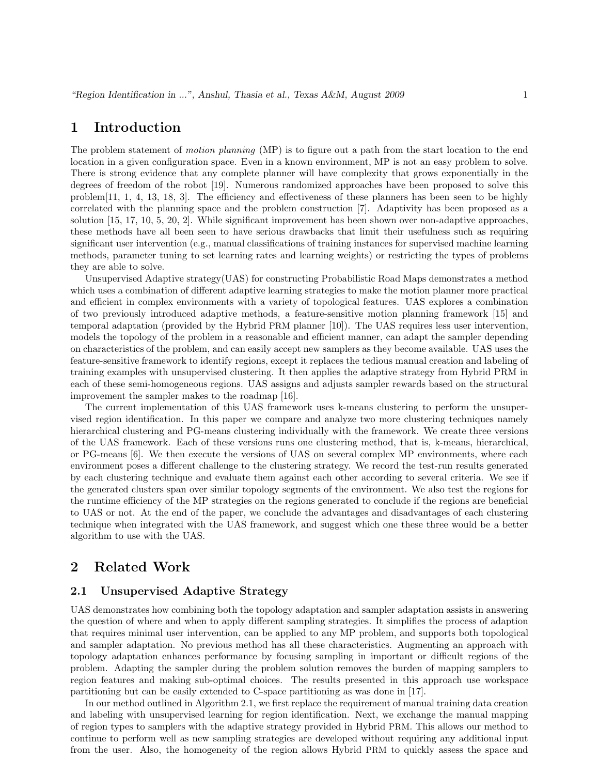## 1 Introduction

The problem statement of motion planning (MP) is to figure out a path from the start location to the end location in a given configuration space. Even in a known environment, MP is not an easy problem to solve. There is strong evidence that any complete planner will have complexity that grows exponentially in the degrees of freedom of the robot [19]. Numerous randomized approaches have been proposed to solve this problem[11, 1, 4, 13, 18, 3]. The efficiency and effectiveness of these planners has been seen to be highly correlated with the planning space and the problem construction [7]. Adaptivity has been proposed as a solution [15, 17, 10, 5, 20, 2]. While significant improvement has been shown over non-adaptive approaches, these methods have all been seen to have serious drawbacks that limit their usefulness such as requiring significant user intervention (e.g., manual classifications of training instances for supervised machine learning methods, parameter tuning to set learning rates and learning weights) or restricting the types of problems they are able to solve.

Unsupervised Adaptive strategy(UAS) for constructing Probabilistic Road Maps demonstrates a method which uses a combination of different adaptive learning strategies to make the motion planner more practical and efficient in complex environments with a variety of topological features. UAS explores a combination of two previously introduced adaptive methods, a feature-sensitive motion planning framework [15] and temporal adaptation (provided by the Hybrid PRM planner [10]). The UAS requires less user intervention, models the topology of the problem in a reasonable and efficient manner, can adapt the sampler depending on characteristics of the problem, and can easily accept new samplers as they become available. UAS uses the feature-sensitive framework to identify regions, except it replaces the tedious manual creation and labeling of training examples with unsupervised clustering. It then applies the adaptive strategy from Hybrid PRM in each of these semi-homogeneous regions. UAS assigns and adjusts sampler rewards based on the structural improvement the sampler makes to the roadmap [16].

The current implementation of this UAS framework uses k-means clustering to perform the unsupervised region identification. In this paper we compare and analyze two more clustering techniques namely hierarchical clustering and PG-means clustering individually with the framework. We create three versions of the UAS framework. Each of these versions runs one clustering method, that is, k-means, hierarchical, or PG-means [6]. We then execute the versions of UAS on several complex MP environments, where each environment poses a different challenge to the clustering strategy. We record the test-run results generated by each clustering technique and evaluate them against each other according to several criteria. We see if the generated clusters span over similar topology segments of the environment. We also test the regions for the runtime efficiency of the MP strategies on the regions generated to conclude if the regions are beneficial to UAS or not. At the end of the paper, we conclude the advantages and disadvantages of each clustering technique when integrated with the UAS framework, and suggest which one these three would be a better algorithm to use with the UAS.

# 2 Related Work

#### 2.1 Unsupervised Adaptive Strategy

UAS demonstrates how combining both the topology adaptation and sampler adaptation assists in answering the question of where and when to apply different sampling strategies. It simplifies the process of adaption that requires minimal user intervention, can be applied to any MP problem, and supports both topological and sampler adaptation. No previous method has all these characteristics. Augmenting an approach with topology adaptation enhances performance by focusing sampling in important or difficult regions of the problem. Adapting the sampler during the problem solution removes the burden of mapping samplers to region features and making sub-optimal choices. The results presented in this approach use workspace partitioning but can be easily extended to C-space partitioning as was done in [17].

In our method outlined in Algorithm 2.1, we first replace the requirement of manual training data creation and labeling with unsupervised learning for region identification. Next, we exchange the manual mapping of region types to samplers with the adaptive strategy provided in Hybrid PRM. This allows our method to continue to perform well as new sampling strategies are developed without requiring any additional input from the user. Also, the homogeneity of the region allows Hybrid PRM to quickly assess the space and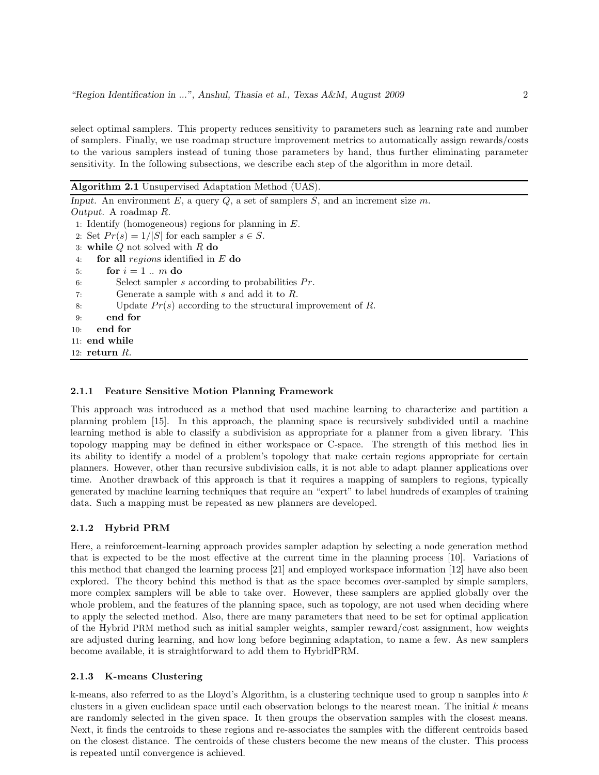select optimal samplers. This property reduces sensitivity to parameters such as learning rate and number of samplers. Finally, we use roadmap structure improvement metrics to automatically assign rewards/costs to the various samplers instead of tuning those parameters by hand, thus further eliminating parameter sensitivity. In the following subsections, we describe each step of the algorithm in more detail.

Algorithm 2.1 Unsupervised Adaptation Method (UAS).

| Input. An environment E, a query $Q$ , a set of samplers S, and an increment size m. |
|--------------------------------------------------------------------------------------|
| Output. A roadmap $R$ .                                                              |
| 1: Identify (homogeneous) regions for planning in $E$ .                              |
| 2: Set $Pr(s) = 1/ S $ for each sampler $s \in S$ .                                  |
| 3: while $Q$ not solved with $R$ do                                                  |
| for all regions identified in $E$ do<br>4:                                           |
| for $i=1m$ do<br>5:                                                                  |
| Select sampler s according to probabilities $Pr$ .<br>6:                             |
| Generate a sample with $s$ and add it to $R$ .<br>7:                                 |
| Update $Pr(s)$ according to the structural improvement of R.<br>8:                   |
| end for<br>9:                                                                        |
| end for<br>10:                                                                       |
| $11:$ end while                                                                      |
| 12: return $R$ .                                                                     |
|                                                                                      |

#### 2.1.1 Feature Sensitive Motion Planning Framework

This approach was introduced as a method that used machine learning to characterize and partition a planning problem [15]. In this approach, the planning space is recursively subdivided until a machine learning method is able to classify a subdivision as appropriate for a planner from a given library. This topology mapping may be defined in either workspace or C-space. The strength of this method lies in its ability to identify a model of a problem's topology that make certain regions appropriate for certain planners. However, other than recursive subdivision calls, it is not able to adapt planner applications over time. Another drawback of this approach is that it requires a mapping of samplers to regions, typically generated by machine learning techniques that require an "expert" to label hundreds of examples of training data. Such a mapping must be repeated as new planners are developed.

#### 2.1.2 Hybrid PRM

Here, a reinforcement-learning approach provides sampler adaption by selecting a node generation method that is expected to be the most effective at the current time in the planning process [10]. Variations of this method that changed the learning process [21] and employed workspace information [12] have also been explored. The theory behind this method is that as the space becomes over-sampled by simple samplers, more complex samplers will be able to take over. However, these samplers are applied globally over the whole problem, and the features of the planning space, such as topology, are not used when deciding where to apply the selected method. Also, there are many parameters that need to be set for optimal application of the Hybrid PRM method such as initial sampler weights, sampler reward/cost assignment, how weights are adjusted during learning, and how long before beginning adaptation, to name a few. As new samplers become available, it is straightforward to add them to HybridPRM.

#### 2.1.3 K-means Clustering

k-means, also referred to as the Lloyd's Algorithm, is a clustering technique used to group n samples into k clusters in a given euclidean space until each observation belongs to the nearest mean. The initial  $k$  means are randomly selected in the given space. It then groups the observation samples with the closest means. Next, it finds the centroids to these regions and re-associates the samples with the different centroids based on the closest distance. The centroids of these clusters become the new means of the cluster. This process is repeated until convergence is achieved.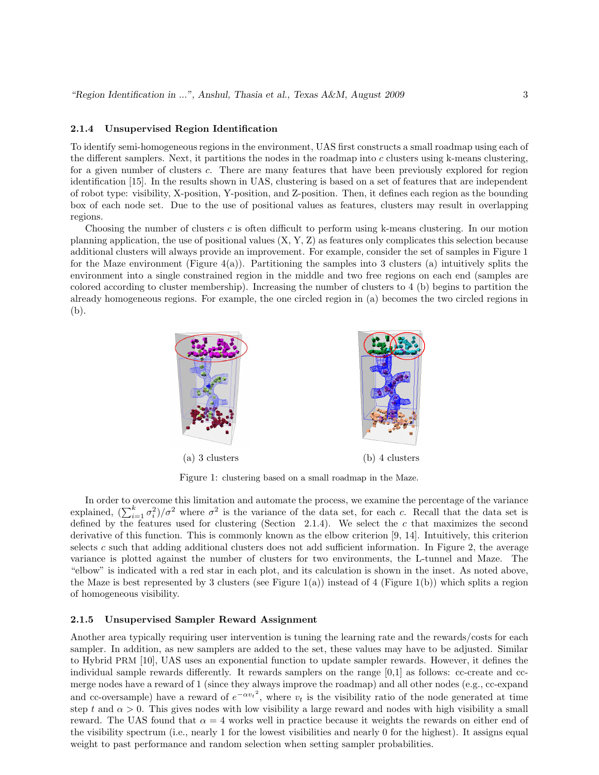#### 2.1.4 Unsupervised Region Identification

To identify semi-homogeneous regions in the environment, UAS first constructs a small roadmap using each of the different samplers. Next, it partitions the nodes in the roadmap into  $c$  clusters using k-means clustering, for a given number of clusters c. There are many features that have been previously explored for region identification [15]. In the results shown in UAS, clustering is based on a set of features that are independent of robot type: visibility, X-position, Y-position, and Z-position. Then, it defines each region as the bounding box of each node set. Due to the use of positional values as features, clusters may result in overlapping regions.

Choosing the number of clusters  $c$  is often difficult to perform using k-means clustering. In our motion planning application, the use of positional values  $(X, Y, Z)$  as features only complicates this selection because additional clusters will always provide an improvement. For example, consider the set of samples in Figure 1 for the Maze environment (Figure 4(a)). Partitioning the samples into 3 clusters (a) intuitively splits the environment into a single constrained region in the middle and two free regions on each end (samples are colored according to cluster membership). Increasing the number of clusters to 4 (b) begins to partition the already homogeneous regions. For example, the one circled region in (a) becomes the two circled regions in (b).



Figure 1: clustering based on a small roadmap in the Maze.

In order to overcome this limitation and automate the process, we examine the percentage of the variance explained,  $(\sum_{i=1}^k \sigma_i^2)/\sigma^2$  where  $\sigma^2$  is the variance of the data set, for each c. Recall that the data set is defined by the features used for clustering (Section 2.1.4). We select the  $c$  that maximizes the second derivative of this function. This is commonly known as the elbow criterion [9, 14]. Intuitively, this criterion selects c such that adding additional clusters does not add sufficient information. In Figure 2, the average variance is plotted against the number of clusters for two environments, the L-tunnel and Maze. The "elbow" is indicated with a red star in each plot, and its calculation is shown in the inset. As noted above, the Maze is best represented by 3 clusters (see Figure 1(a)) instead of 4 (Figure 1(b)) which splits a region of homogeneous visibility.

#### 2.1.5 Unsupervised Sampler Reward Assignment

Another area typically requiring user intervention is tuning the learning rate and the rewards/costs for each sampler. In addition, as new samplers are added to the set, these values may have to be adjusted. Similar to Hybrid PRM [10], UAS uses an exponential function to update sampler rewards. However, it defines the individual sample rewards differently. It rewards samplers on the range [0,1] as follows: cc-create and ccmerge nodes have a reward of 1 (since they always improve the roadmap) and all other nodes (e.g., cc-expand and cc-oversample) have a reward of  $e^{-\alpha v_t^2}$ , where  $v_t$  is the visibility ratio of the node generated at time step t and  $\alpha > 0$ . This gives nodes with low visibility a large reward and nodes with high visibility a small reward. The UAS found that  $\alpha = 4$  works well in practice because it weights the rewards on either end of the visibility spectrum (i.e., nearly 1 for the lowest visibilities and nearly 0 for the highest). It assigns equal weight to past performance and random selection when setting sampler probabilities.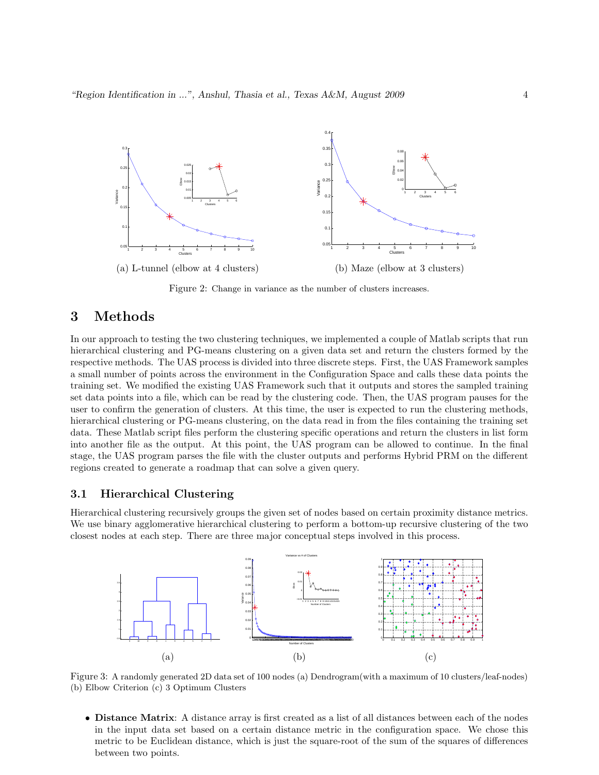

Figure 2: Change in variance as the number of clusters increases.

# 3 Methods

In our approach to testing the two clustering techniques, we implemented a couple of Matlab scripts that run hierarchical clustering and PG-means clustering on a given data set and return the clusters formed by the respective methods. The UAS process is divided into three discrete steps. First, the UAS Framework samples a small number of points across the environment in the Configuration Space and calls these data points the training set. We modified the existing UAS Framework such that it outputs and stores the sampled training set data points into a file, which can be read by the clustering code. Then, the UAS program pauses for the user to confirm the generation of clusters. At this time, the user is expected to run the clustering methods, hierarchical clustering or PG-means clustering, on the data read in from the files containing the training set data. These Matlab script files perform the clustering specific operations and return the clusters in list form into another file as the output. At this point, the UAS program can be allowed to continue. In the final stage, the UAS program parses the file with the cluster outputs and performs Hybrid PRM on the different regions created to generate a roadmap that can solve a given query.

#### 3.1 Hierarchical Clustering

Hierarchical clustering recursively groups the given set of nodes based on certain proximity distance metrics. We use binary agglomerative hierarchical clustering to perform a bottom-up recursive clustering of the two closest nodes at each step. There are three major conceptual steps involved in this process.



Figure 3: A randomly generated 2D data set of 100 nodes (a) Dendrogram(with a maximum of 10 clusters/leaf-nodes) (b) Elbow Criterion (c) 3 Optimum Clusters

• Distance Matrix: A distance array is first created as a list of all distances between each of the nodes in the input data set based on a certain distance metric in the configuration space. We chose this metric to be Euclidean distance, which is just the square-root of the sum of the squares of differences between two points.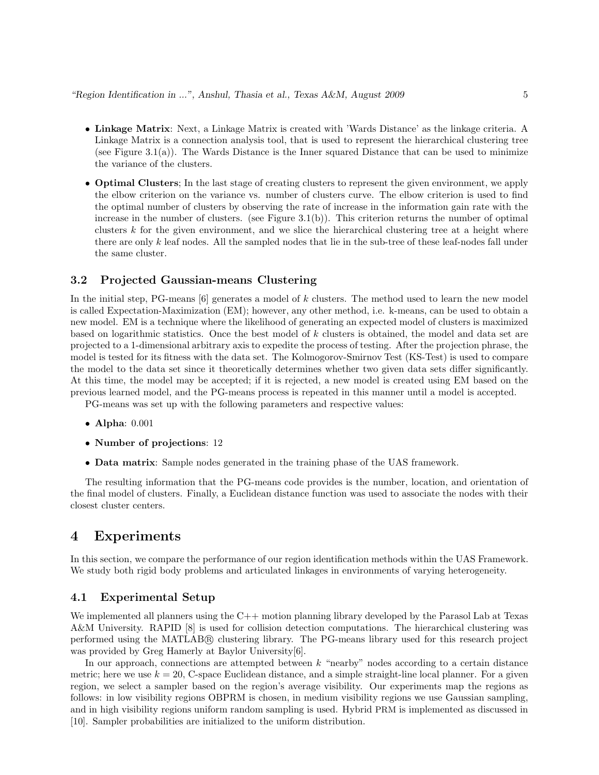- Linkage Matrix: Next, a Linkage Matrix is created with 'Wards Distance' as the linkage criteria. A Linkage Matrix is a connection analysis tool, that is used to represent the hierarchical clustering tree (see Figure 3.1(a)). The Wards Distance is the Inner squared Distance that can be used to minimize the variance of the clusters.
- Optimal Clusters; In the last stage of creating clusters to represent the given environment, we apply the elbow criterion on the variance vs. number of clusters curve. The elbow criterion is used to find the optimal number of clusters by observing the rate of increase in the information gain rate with the increase in the number of clusters. (see Figure  $3.1(b)$ ). This criterion returns the number of optimal clusters k for the given environment, and we slice the hierarchical clustering tree at a height where there are only  $k$  leaf nodes. All the sampled nodes that lie in the sub-tree of these leaf-nodes fall under the same cluster.

#### 3.2 Projected Gaussian-means Clustering

In the initial step, PG-means  $[6]$  generates a model of k clusters. The method used to learn the new model is called Expectation-Maximization (EM); however, any other method, i.e. k-means, can be used to obtain a new model. EM is a technique where the likelihood of generating an expected model of clusters is maximized based on logarithmic statistics. Once the best model of  $k$  clusters is obtained, the model and data set are projected to a 1-dimensional arbitrary axis to expedite the process of testing. After the projection phrase, the model is tested for its fitness with the data set. The Kolmogorov-Smirnov Test (KS-Test) is used to compare the model to the data set since it theoretically determines whether two given data sets differ significantly. At this time, the model may be accepted; if it is rejected, a new model is created using EM based on the previous learned model, and the PG-means process is repeated in this manner until a model is accepted.

PG-means was set up with the following parameters and respective values:

- Alpha: 0.001
- Number of projections: 12
- Data matrix: Sample nodes generated in the training phase of the UAS framework.

The resulting information that the PG-means code provides is the number, location, and orientation of the final model of clusters. Finally, a Euclidean distance function was used to associate the nodes with their closest cluster centers.

### 4 Experiments

In this section, we compare the performance of our region identification methods within the UAS Framework. We study both rigid body problems and articulated linkages in environments of varying heterogeneity.

#### 4.1 Experimental Setup

We implemented all planners using the C++ motion planning library developed by the Parasol Lab at Texas A&M University. RAPID [8] is used for collision detection computations. The hierarchical clustering was performed using the MATLAB® clustering library. The PG-means library used for this research project was provided by Greg Hamerly at Baylor University[6].

In our approach, connections are attempted between  $k$  "nearby" nodes according to a certain distance metric; here we use  $k = 20$ , C-space Euclidean distance, and a simple straight-line local planner. For a given region, we select a sampler based on the region's average visibility. Our experiments map the regions as follows: in low visibility regions OBPRM is chosen, in medium visibility regions we use Gaussian sampling, and in high visibility regions uniform random sampling is used. Hybrid PRM is implemented as discussed in [10]. Sampler probabilities are initialized to the uniform distribution.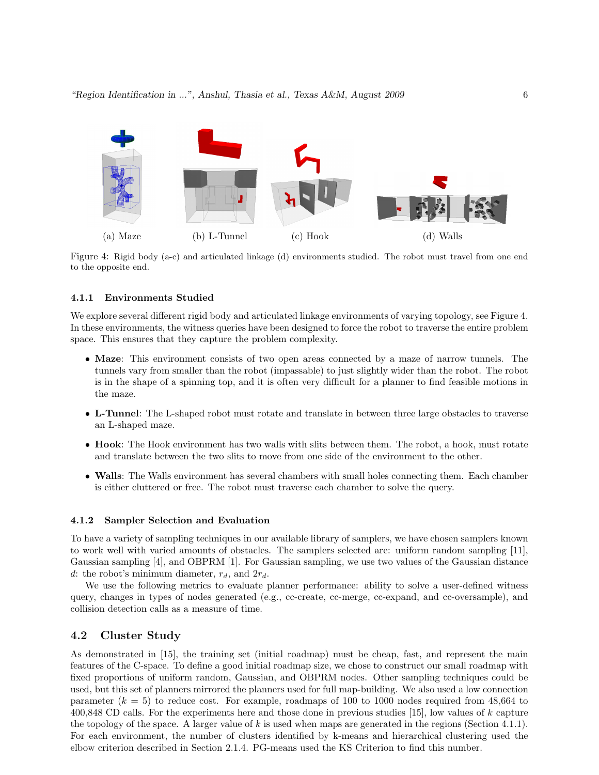

Figure 4: Rigid body (a-c) and articulated linkage (d) environments studied. The robot must travel from one end to the opposite end.

#### 4.1.1 Environments Studied

We explore several different rigid body and articulated linkage environments of varying topology, see Figure 4. In these environments, the witness queries have been designed to force the robot to traverse the entire problem space. This ensures that they capture the problem complexity.

- Maze: This environment consists of two open areas connected by a maze of narrow tunnels. The tunnels vary from smaller than the robot (impassable) to just slightly wider than the robot. The robot is in the shape of a spinning top, and it is often very difficult for a planner to find feasible motions in the maze.
- L-Tunnel: The L-shaped robot must rotate and translate in between three large obstacles to traverse an L-shaped maze.
- Hook: The Hook environment has two walls with slits between them. The robot, a hook, must rotate and translate between the two slits to move from one side of the environment to the other.
- Walls: The Walls environment has several chambers with small holes connecting them. Each chamber is either cluttered or free. The robot must traverse each chamber to solve the query.

#### 4.1.2 Sampler Selection and Evaluation

To have a variety of sampling techniques in our available library of samplers, we have chosen samplers known to work well with varied amounts of obstacles. The samplers selected are: uniform random sampling [11], Gaussian sampling [4], and OBPRM [1]. For Gaussian sampling, we use two values of the Gaussian distance d: the robot's minimum diameter,  $r_d$ , and  $2r_d$ .

We use the following metrics to evaluate planner performance: ability to solve a user-defined witness query, changes in types of nodes generated (e.g., cc-create, cc-merge, cc-expand, and cc-oversample), and collision detection calls as a measure of time.

#### 4.2 Cluster Study

As demonstrated in [15], the training set (initial roadmap) must be cheap, fast, and represent the main features of the C-space. To define a good initial roadmap size, we chose to construct our small roadmap with fixed proportions of uniform random, Gaussian, and OBPRM nodes. Other sampling techniques could be used, but this set of planners mirrored the planners used for full map-building. We also used a low connection parameter  $(k = 5)$  to reduce cost. For example, roadmaps of 100 to 1000 nodes required from 48,664 to 400,848 CD calls. For the experiments here and those done in previous studies [15], low values of k capture the topology of the space. A larger value of  $k$  is used when maps are generated in the regions (Section 4.1.1). For each environment, the number of clusters identified by k-means and hierarchical clustering used the elbow criterion described in Section 2.1.4. PG-means used the KS Criterion to find this number.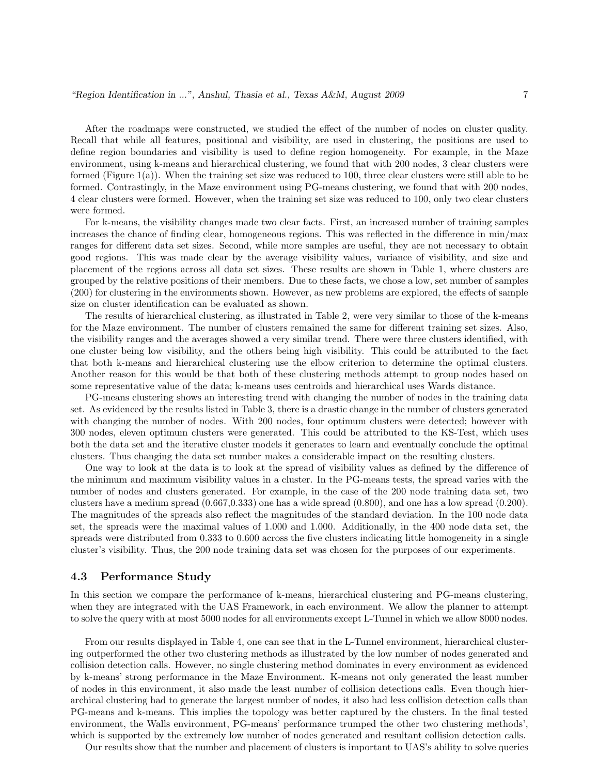After the roadmaps were constructed, we studied the effect of the number of nodes on cluster quality. Recall that while all features, positional and visibility, are used in clustering, the positions are used to define region boundaries and visibility is used to define region homogeneity. For example, in the Maze environment, using k-means and hierarchical clustering, we found that with 200 nodes, 3 clear clusters were formed (Figure 1(a)). When the training set size was reduced to 100, three clear clusters were still able to be formed. Contrastingly, in the Maze environment using PG-means clustering, we found that with 200 nodes, 4 clear clusters were formed. However, when the training set size was reduced to 100, only two clear clusters were formed.

For k-means, the visibility changes made two clear facts. First, an increased number of training samples increases the chance of finding clear, homogeneous regions. This was reflected in the difference in min/max ranges for different data set sizes. Second, while more samples are useful, they are not necessary to obtain good regions. This was made clear by the average visibility values, variance of visibility, and size and placement of the regions across all data set sizes. These results are shown in Table 1, where clusters are grouped by the relative positions of their members. Due to these facts, we chose a low, set number of samples (200) for clustering in the environments shown. However, as new problems are explored, the effects of sample size on cluster identification can be evaluated as shown.

The results of hierarchical clustering, as illustrated in Table 2, were very similar to those of the k-means for the Maze environment. The number of clusters remained the same for different training set sizes. Also, the visibility ranges and the averages showed a very similar trend. There were three clusters identified, with one cluster being low visibility, and the others being high visibility. This could be attributed to the fact that both k-means and hierarchical clustering use the elbow criterion to determine the optimal clusters. Another reason for this would be that both of these clustering methods attempt to group nodes based on some representative value of the data; k-means uses centroids and hierarchical uses Wards distance.

PG-means clustering shows an interesting trend with changing the number of nodes in the training data set. As evidenced by the results listed in Table 3, there is a drastic change in the number of clusters generated with changing the number of nodes. With 200 nodes, four optimum clusters were detected; however with 300 nodes, eleven optimum clusters were generated. This could be attributed to the KS-Test, which uses both the data set and the iterative cluster models it generates to learn and eventually conclude the optimal clusters. Thus changing the data set number makes a considerable impact on the resulting clusters.

One way to look at the data is to look at the spread of visibility values as defined by the difference of the minimum and maximum visibility values in a cluster. In the PG-means tests, the spread varies with the number of nodes and clusters generated. For example, in the case of the 200 node training data set, two clusters have a medium spread (0.667,0.333) one has a wide spread (0.800), and one has a low spread (0.200). The magnitudes of the spreads also reflect the magnitudes of the standard deviation. In the 100 node data set, the spreads were the maximal values of 1.000 and 1.000. Additionally, in the 400 node data set, the spreads were distributed from 0.333 to 0.600 across the five clusters indicating little homogeneity in a single cluster's visibility. Thus, the 200 node training data set was chosen for the purposes of our experiments.

#### 4.3 Performance Study

In this section we compare the performance of k-means, hierarchical clustering and PG-means clustering, when they are integrated with the UAS Framework, in each environment. We allow the planner to attempt to solve the query with at most 5000 nodes for all environments except L-Tunnel in which we allow 8000 nodes.

From our results displayed in Table 4, one can see that in the L-Tunnel environment, hierarchical clustering outperformed the other two clustering methods as illustrated by the low number of nodes generated and collision detection calls. However, no single clustering method dominates in every environment as evidenced by k-means' strong performance in the Maze Environment. K-means not only generated the least number of nodes in this environment, it also made the least number of collision detections calls. Even though hierarchical clustering had to generate the largest number of nodes, it also had less collision detection calls than PG-means and k-means. This implies the topology was better captured by the clusters. In the final tested environment, the Walls environment, PG-means' performance trumped the other two clustering methods', which is supported by the extremely low number of nodes generated and resultant collision detection calls.

Our results show that the number and placement of clusters is important to UAS's ability to solve queries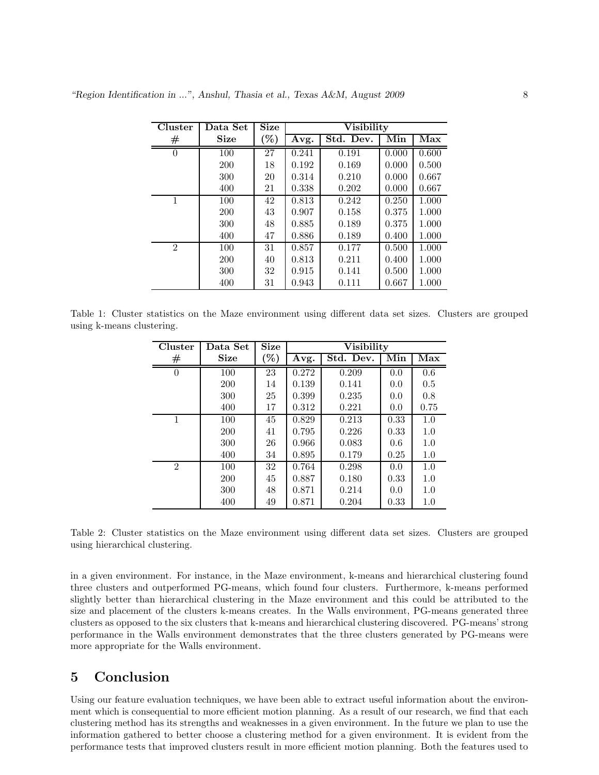| Cluster        | Data Set    | <b>Size</b> |       | <b>Visibility</b> |       |       |
|----------------|-------------|-------------|-------|-------------------|-------|-------|
| $^{\#}$        | <b>Size</b> | $\%$        | Avg.  | Std. Dev.         | Min   | Max   |
| $\theta$       | 100         | 27          | 0.241 | 0.191             | 0.000 | 0.600 |
|                | 200         | 18          | 0.192 | 0.169             | 0.000 | 0.500 |
|                | 300         | 20          | 0.314 | 0.210             | 0.000 | 0.667 |
|                | 400         | 21          | 0.338 | 0.202             | 0.000 | 0.667 |
| 1              | 100         | 42          | 0.813 | 0.242             | 0.250 | 1.000 |
|                | 200         | 43          | 0.907 | 0.158             | 0.375 | 1.000 |
|                | 300         | 48          | 0.885 | 0.189             | 0.375 | 1.000 |
|                | 400         | 47          | 0.886 | 0.189             | 0.400 | 1.000 |
| $\overline{2}$ | 100         | 31          | 0.857 | 0.177             | 0.500 | 1.000 |
|                | <b>200</b>  | 40          | 0.813 | 0.211             | 0.400 | 1.000 |
|                | 300         | 32          | 0.915 | 0.141             | 0.500 | 1.000 |
|                | 400         | 31          | 0.943 | 0.111             | 0.667 | 1.000 |

Table 1: Cluster statistics on the Maze environment using different data set sizes. Clusters are grouped using k-means clustering.

| Cluster        | Data Set    | <b>Size</b> |       | <b>Visibility</b> |                         |      |
|----------------|-------------|-------------|-------|-------------------|-------------------------|------|
| $^{\#}$        | <b>Size</b> | $\%$        | Avg.  | Std. Dev.         | $\overline{\text{Min}}$ | Max  |
| $\theta$       | 100         | 23          | 0.272 | 0.209             | 0.0                     | 0.6  |
|                | 200         | 14          | 0.139 | 0.141             | 0.0                     | 0.5  |
|                | 300         | 25          | 0.399 | 0.235             | 0.0                     | 0.8  |
|                | 400         | 17          | 0.312 | 0.221             | 0.0                     | 0.75 |
| 1              | 100         | 45          | 0.829 | 0.213             | 0.33                    | 1.0  |
|                | 200         | 41          | 0.795 | 0.226             | 0.33                    | 1.0  |
|                | 300         | 26          | 0.966 | 0.083             | 0.6                     | 1.0  |
|                | 400         | 34          | 0.895 | 0.179             | 0.25                    | 1.0  |
| $\overline{2}$ | 100         | 32          | 0.764 | 0.298             | 0.0                     | 1.0  |
|                | 200         | 45          | 0.887 | 0.180             | 0.33                    | 1.0  |
|                | 300         | 48          | 0.871 | 0.214             | 0.0                     | 1.0  |
|                | 400         | 49          | 0.871 | 0.204             | 0.33                    | 1.0  |

Table 2: Cluster statistics on the Maze environment using different data set sizes. Clusters are grouped using hierarchical clustering.

in a given environment. For instance, in the Maze environment, k-means and hierarchical clustering found three clusters and outperformed PG-means, which found four clusters. Furthermore, k-means performed slightly better than hierarchical clustering in the Maze environment and this could be attributed to the size and placement of the clusters k-means creates. In the Walls environment, PG-means generated three clusters as opposed to the six clusters that k-means and hierarchical clustering discovered. PG-means' strong performance in the Walls environment demonstrates that the three clusters generated by PG-means were more appropriate for the Walls environment.

# 5 Conclusion

Using our feature evaluation techniques, we have been able to extract useful information about the environment which is consequential to more efficient motion planning. As a result of our research, we find that each clustering method has its strengths and weaknesses in a given environment. In the future we plan to use the information gathered to better choose a clustering method for a given environment. It is evident from the performance tests that improved clusters result in more efficient motion planning. Both the features used to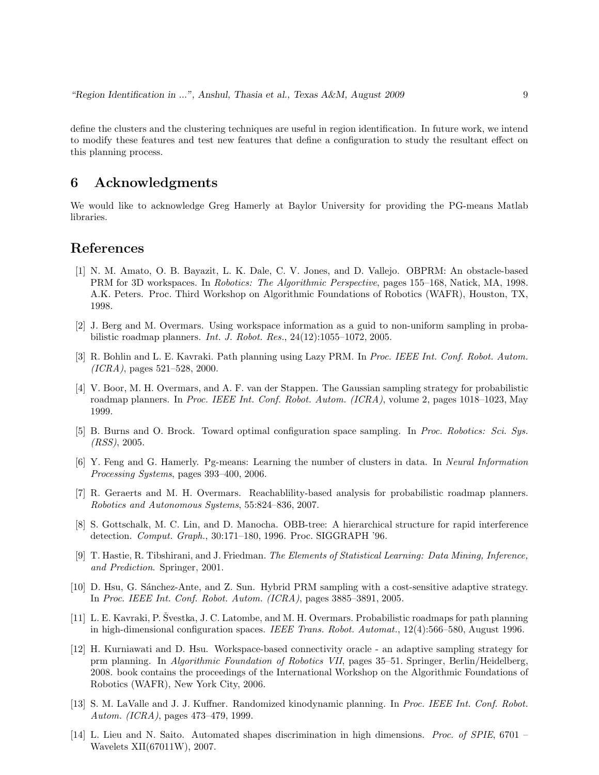define the clusters and the clustering techniques are useful in region identification. In future work, we intend to modify these features and test new features that define a configuration to study the resultant effect on this planning process.

# 6 Acknowledgments

We would like to acknowledge Greg Hamerly at Baylor University for providing the PG-means Matlab libraries.

# References

- [1] N. M. Amato, O. B. Bayazit, L. K. Dale, C. V. Jones, and D. Vallejo. OBPRM: An obstacle-based PRM for 3D workspaces. In Robotics: The Algorithmic Perspective, pages 155–168, Natick, MA, 1998. A.K. Peters. Proc. Third Workshop on Algorithmic Foundations of Robotics (WAFR), Houston, TX, 1998.
- [2] J. Berg and M. Overmars. Using workspace information as a guid to non-uniform sampling in probabilistic roadmap planners. Int. J. Robot. Res., 24(12):1055–1072, 2005.
- [3] R. Bohlin and L. E. Kavraki. Path planning using Lazy PRM. In Proc. IEEE Int. Conf. Robot. Autom. (ICRA), pages 521–528, 2000.
- [4] V. Boor, M. H. Overmars, and A. F. van der Stappen. The Gaussian sampling strategy for probabilistic roadmap planners. In Proc. IEEE Int. Conf. Robot. Autom. (ICRA), volume 2, pages 1018–1023, May 1999.
- [5] B. Burns and O. Brock. Toward optimal configuration space sampling. In Proc. Robotics: Sci. Sys. (RSS), 2005.
- [6] Y. Feng and G. Hamerly. Pg-means: Learning the number of clusters in data. In Neural Information Processing Systems, pages 393–400, 2006.
- [7] R. Geraerts and M. H. Overmars. Reachablility-based analysis for probabilistic roadmap planners. Robotics and Autonomous Systems, 55:824–836, 2007.
- [8] S. Gottschalk, M. C. Lin, and D. Manocha. OBB-tree: A hierarchical structure for rapid interference detection. Comput. Graph., 30:171–180, 1996. Proc. SIGGRAPH '96.
- [9] T. Hastie, R. Tibshirani, and J. Friedman. The Elements of Statistical Learning: Data Mining, Inference, and Prediction. Springer, 2001.
- [10] D. Hsu, G. Sánchez-Ante, and Z. Sun. Hybrid PRM sampling with a cost-sensitive adaptive strategy. In Proc. IEEE Int. Conf. Robot. Autom. (ICRA), pages 3885–3891, 2005.
- [11] L. E. Kavraki, P. Švestka, J. C. Latombe, and M. H. Overmars. Probabilistic roadmaps for path planning in high-dimensional configuration spaces. IEEE Trans. Robot. Automat., 12(4):566–580, August 1996.
- [12] H. Kurniawati and D. Hsu. Workspace-based connectivity oracle an adaptive sampling strategy for prm planning. In Algorithmic Foundation of Robotics VII, pages 35–51. Springer, Berlin/Heidelberg, 2008. book contains the proceedings of the International Workshop on the Algorithmic Foundations of Robotics (WAFR), New York City, 2006.
- [13] S. M. LaValle and J. J. Kuffner. Randomized kinodynamic planning. In Proc. IEEE Int. Conf. Robot. Autom. (ICRA), pages 473–479, 1999.
- [14] L. Lieu and N. Saito. Automated shapes discrimination in high dimensions. Proc. of SPIE, 6701 Wavelets XII(67011W), 2007.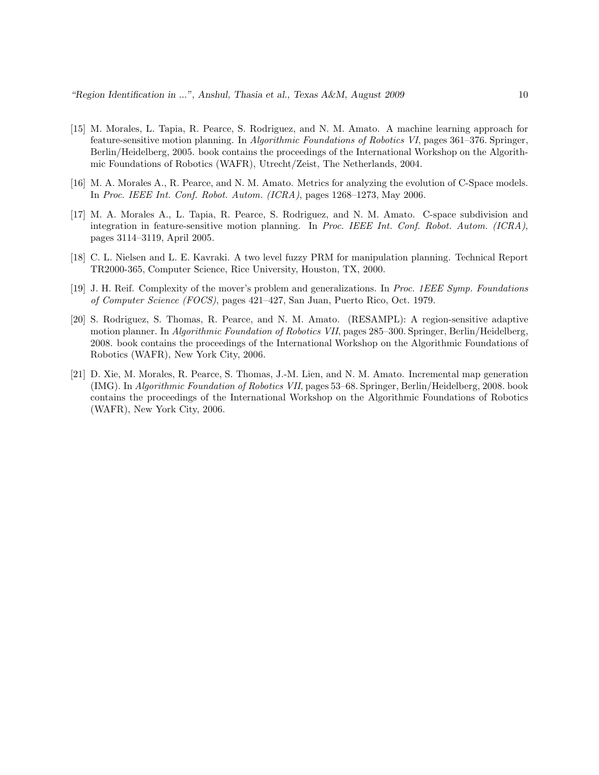- [15] M. Morales, L. Tapia, R. Pearce, S. Rodriguez, and N. M. Amato. A machine learning approach for feature-sensitive motion planning. In Algorithmic Foundations of Robotics VI, pages 361–376. Springer, Berlin/Heidelberg, 2005. book contains the proceedings of the International Workshop on the Algorithmic Foundations of Robotics (WAFR), Utrecht/Zeist, The Netherlands, 2004.
- [16] M. A. Morales A., R. Pearce, and N. M. Amato. Metrics for analyzing the evolution of C-Space models. In Proc. IEEE Int. Conf. Robot. Autom. (ICRA), pages 1268–1273, May 2006.
- [17] M. A. Morales A., L. Tapia, R. Pearce, S. Rodriguez, and N. M. Amato. C-space subdivision and integration in feature-sensitive motion planning. In Proc. IEEE Int. Conf. Robot. Autom. (ICRA), pages 3114–3119, April 2005.
- [18] C. L. Nielsen and L. E. Kavraki. A two level fuzzy PRM for manipulation planning. Technical Report TR2000-365, Computer Science, Rice University, Houston, TX, 2000.
- [19] J. H. Reif. Complexity of the mover's problem and generalizations. In Proc. 1EEE Symp. Foundations of Computer Science (FOCS), pages 421–427, San Juan, Puerto Rico, Oct. 1979.
- [20] S. Rodriguez, S. Thomas, R. Pearce, and N. M. Amato. (RESAMPL): A region-sensitive adaptive motion planner. In Algorithmic Foundation of Robotics VII, pages 285–300. Springer, Berlin/Heidelberg, 2008. book contains the proceedings of the International Workshop on the Algorithmic Foundations of Robotics (WAFR), New York City, 2006.
- [21] D. Xie, M. Morales, R. Pearce, S. Thomas, J.-M. Lien, and N. M. Amato. Incremental map generation (IMG). In Algorithmic Foundation of Robotics VII, pages 53–68. Springer, Berlin/Heidelberg, 2008. book contains the proceedings of the International Workshop on the Algorithmic Foundations of Robotics (WAFR), New York City, 2006.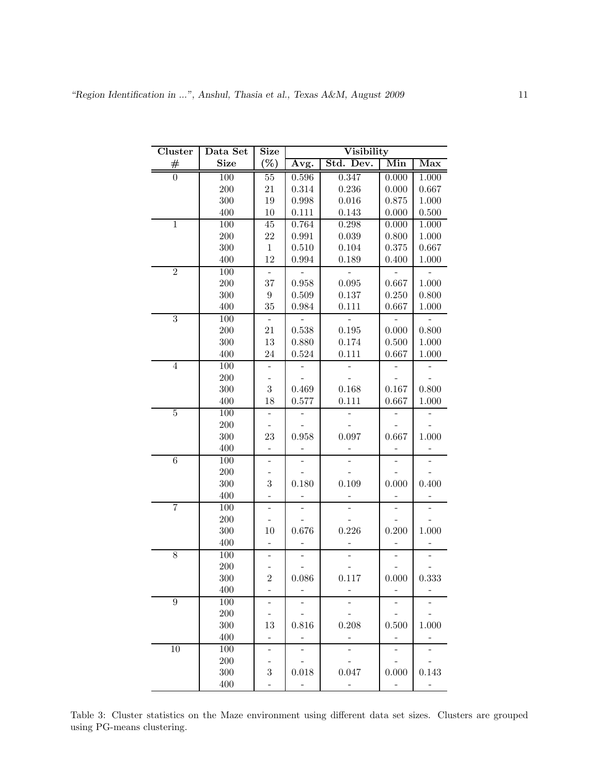| Cluster          | Data Set    | Size                     |                          | Visibility     |                          |                |
|------------------|-------------|--------------------------|--------------------------|----------------|--------------------------|----------------|
| #                | <b>Size</b> | $(\%)$                   | Āvg.                     | Std. Dev.      | Min                      | Max            |
| $\overline{0}$   | 100         | $\overline{55}$          | 0.596                    | 0.347          | 0.000                    | 1.000          |
|                  | 200         | 21                       | 0.314                    | 0.236          | 0.000                    | 0.667          |
|                  | 300         | 19                       | 0.998                    | 0.016          | 0.875                    | 1.000          |
|                  | 400         | $10\,$                   | 0.111                    | 0.143          | 0.000                    | 0.500          |
| $\mathbf{1}$     | 100         | 45                       | 0.764                    | 0.298          | 0.000                    | 1.000          |
|                  | 200         | 22                       | 0.991                    | 0.039          | 0.800                    | 1.000          |
|                  | 300         | $\mathbf{1}$             | 0.510                    | 0.104          | 0.375                    | 0.667          |
|                  | 400         | 12                       | 0.994                    | 0.189          | 0.400                    | 1.000          |
| $\overline{2}$   | 100         | $\qquad \qquad -$        |                          | $\frac{1}{2}$  |                          |                |
|                  | 200         | 37                       | 0.958                    | 0.095          | 0.667                    | 1.000          |
|                  | 300         | $\,9$                    | 0.509                    | 0.137          | 0.250                    | 0.800          |
|                  | 400         | 35                       | 0.984                    | 0.111          | 0.667                    | 1.000          |
| $\overline{3}$   | 100         | $\equiv$                 | $\overline{a}$           | $\overline{a}$ | ÷                        | $\overline{a}$ |
|                  | 200         | 21                       | 0.538                    | 0.195          | 0.000                    | 0.800          |
|                  | 300         | 13                       | 0.880                    | 0.174          | 0.500                    | 1.000          |
|                  | 400         | 24                       | 0.524                    | 0.111          | 0.667                    | 1.000          |
| $\overline{4}$   | 100         | $\overline{\phantom{0}}$ | $\overline{\phantom{0}}$ | $\overline{a}$ | $\overline{\phantom{0}}$ |                |
|                  | 200         |                          |                          |                |                          |                |
|                  | 300         | 3                        | 0.469                    | 0.168          | 0.167                    | 0.800          |
|                  | 400         | 18                       | 0.577                    | 0.111          | 0.667                    | 1.000          |
| $\mathbf 5$      | 100         | $\blacksquare$           | $\qquad \qquad -$        |                |                          |                |
|                  | 200         |                          |                          |                |                          |                |
|                  | 300         | 23                       | 0.958                    | 0.097          | 0.667                    | 1.000          |
| $\overline{6}$   | 400<br>100  |                          |                          |                |                          |                |
|                  | 200         | $\overline{a}$           |                          |                |                          |                |
|                  | 300         | 3                        | 0.180                    | 0.109          | 0.000                    | 0.400          |
|                  | 400         | -                        |                          |                |                          |                |
| $\overline{7}$   | 100         | $\overline{a}$           |                          |                |                          |                |
|                  | 200         |                          |                          |                |                          |                |
|                  | 300         | 10                       | 0.676                    | 0.226          | 0.200                    | 1.000          |
|                  | 400         | $\overline{\phantom{0}}$ |                          |                |                          |                |
| 8                | 100         |                          |                          |                |                          |                |
|                  | 200         |                          |                          |                |                          |                |
|                  | 300         | $\overline{2}$           | 0.086                    | 0.117          | 0.000                    | 0.333          |
|                  | 400         |                          |                          |                |                          |                |
| $\boldsymbol{9}$ | 100         |                          |                          |                |                          |                |
|                  | 200         |                          |                          |                |                          |                |
|                  | 300         | 13                       | 0.816                    | 0.208          | 0.500                    | 1.000          |
|                  | 400         | -                        |                          |                | $\overline{\phantom{0}}$ |                |
| 10               | 100         | $\overline{\phantom{0}}$ |                          |                |                          |                |
|                  | 200         |                          |                          |                |                          |                |
|                  | 300         | 3                        | 0.018                    | 0.047          | 0.000                    | 0.143          |
|                  | 400         |                          |                          |                |                          |                |

Table 3: Cluster statistics on the Maze environment using different data set sizes. Clusters are grouped using PG-means clustering.